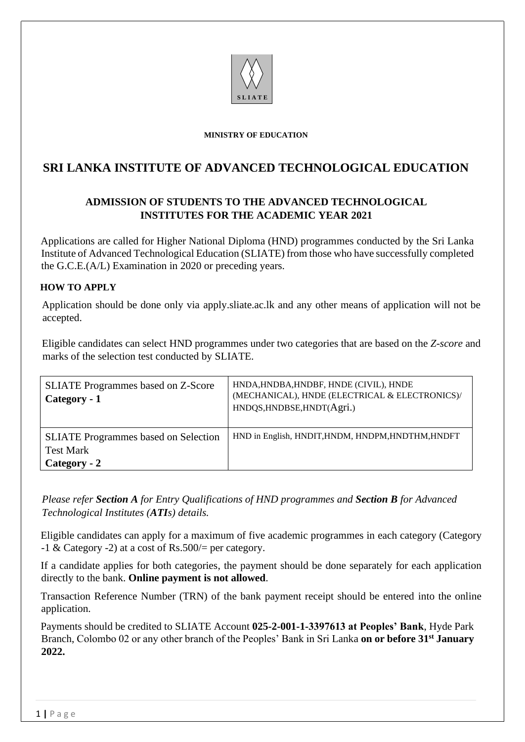

#### **MINISTRY OF EDUCATION**

## **SRI LANKA INSTITUTE OF ADVANCED TECHNOLOGICAL EDUCATION**

## **ADMISSION OF STUDENTS TO THE ADVANCED TECHNOLOGICAL INSTITUTES FOR THE ACADEMIC YEAR 2021**

Applications are called for Higher National Diploma (HND) programmes conducted by the Sri Lanka Institute of Advanced Technological Education (SLIATE) from those who have successfully completed the G.C.E.(A/L) Examination in 2020 or preceding years.

#### **HOW TO APPLY**

Application should be done only via [apply.sliate.ac.lk](http://www.apply.sliate.ac.lk/) and any other means of application will not be accepted.

Eligible candidates can select HND programmes under two categories that are based on the *Z-score* and marks of the selection test conducted by SLIATE.

| <b>SLIATE</b> Programmes based on Z-Score<br>Category - 1                       | HNDA, HNDBA, HNDBF, HNDE (CIVIL), HNDE<br>(MECHANICAL), HNDE (ELECTRICAL & ELECTRONICS)/<br>HNDQS, HNDBSE, HNDT(Agri.) |
|---------------------------------------------------------------------------------|------------------------------------------------------------------------------------------------------------------------|
| <b>SLIATE</b> Programmes based on Selection<br><b>Test Mark</b><br>Category - 2 | HND in English, HNDIT, HNDM, HNDPM, HNDTHM, HNDFT                                                                      |

*Please refer Section A for Entry Qualifications of HND programmes and Section B for Advanced Technological Institutes (ATIs) details.*

Eligible candidates can apply for a maximum of five academic programmes in each category (Category  $-1$  & Category  $-2$ ) at a cost of Rs.500/= per category.

If a candidate applies for both categories, the payment should be done separately for each application directly to the bank. **Online payment is not allowed**.

Transaction Reference Number (TRN) of the bank payment receipt should be entered into the online application.

Payments should be credited to SLIATE Account **025-2-001-1-3397613 at Peoples' Bank**, Hyde Park Branch, Colombo 02 or any other branch of the Peoples' Bank in Sri Lanka **on or before 31st January 2022.**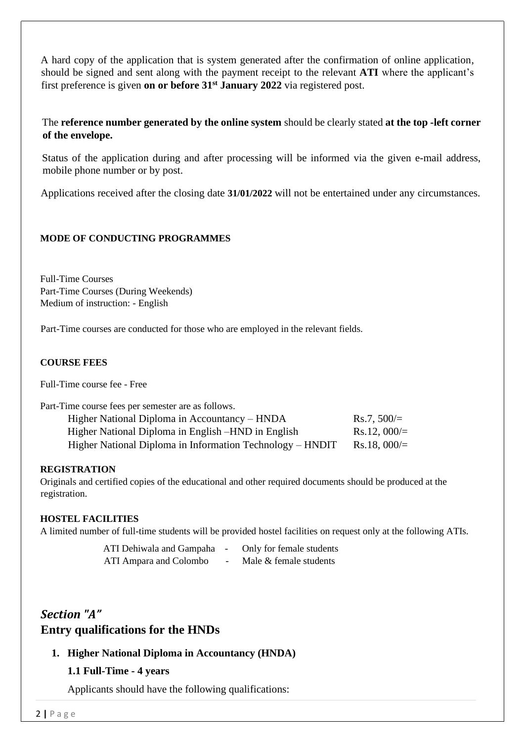A hard copy of the application that is system generated after the confirmation of online application, should be signed and sent along with the payment receipt to the relevant **ATI** where the applicant's first preference is given **on or before 31st January 2022** via registered post.

#### The **reference number generated by the online system** should be clearly stated **at the top -left corner of the envelope.**

Status of the application during and after processing will be informed via the given e-mail address, mobile phone number or by post.

Applications received after the closing date **31/01/2022** will not be entertained under any circumstances.

#### **MODE OF CONDUCTING PROGRAMMES**

Full-Time Courses Part-Time Courses (During Weekends) Medium of instruction: - English

Part-Time courses are conducted for those who are employed in the relevant fields.

#### **COURSE FEES**

Full-Time course fee - Free

| Part-Time course fees per semester are as follows.        |                        |  |  |
|-----------------------------------------------------------|------------------------|--|--|
| Higher National Diploma in Accountancy – HNDA             | $Rs.7,500/=$           |  |  |
| Higher National Diploma in English – HND in English       | $Rs.12,000 =$          |  |  |
| Higher National Diploma in Information Technology – HNDIT | $\text{Rs}.18$ , 000/= |  |  |

#### **REGISTRATION**

Originals and certified copies of the educational and other required documents should be produced at the registration.

#### **HOSTEL FACILITIES**

A limited number of full-time students will be provided hostel facilities on request only at the following ATIs.

| ATI Dehiwala and Gampaha - | Only for female students |
|----------------------------|--------------------------|
| ATI Ampara and Colombo     | Male & female students   |

# *Section "A"* **Entry qualifications for the HNDs**

#### **1. Higher National Diploma in Accountancy (HNDA)**

#### **1.1 Full-Time - 4 years**

Applicants should have the following qualifications: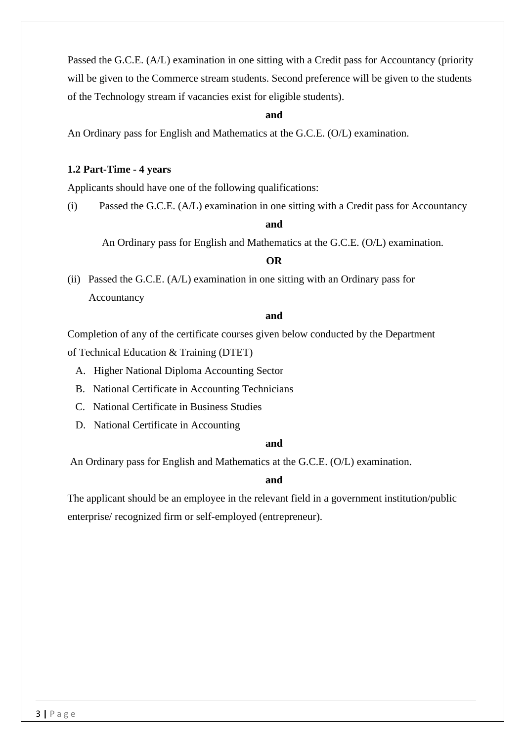Passed the G.C.E. (A/L) examination in one sitting with a Credit pass for Accountancy (priority will be given to the Commerce stream students. Second preference will be given to the students of the Technology stream if vacancies exist for eligible students).

#### **and**

An Ordinary pass for English and Mathematics at the G.C.E. (O/L) examination.

#### **1.2 Part-Time - 4 years**

Applicants should have one of the following qualifications:

(i) Passed the G.C.E. (A/L) examination in one sitting with a Credit pass for Accountancy

#### **and**

An Ordinary pass for English and Mathematics at the G.C.E. (O/L) examination.

## **OR**

(ii) Passed the G.C.E. (A/L) examination in one sitting with an Ordinary pass for Accountancy

#### **and**

 Completion of any of the certificate courses given below conducted by the Department of Technical Education & Training (DTET)

- A. Higher National Diploma Accounting Sector
- B. National Certificate in Accounting Technicians
- C. National Certificate in Business Studies
- D. National Certificate in Accounting

#### **and**

An Ordinary pass for English and Mathematics at the G.C.E. (O/L) examination.

#### **and**

The applicant should be an employee in the relevant field in a government institution/public enterprise/ recognized firm or self-employed (entrepreneur).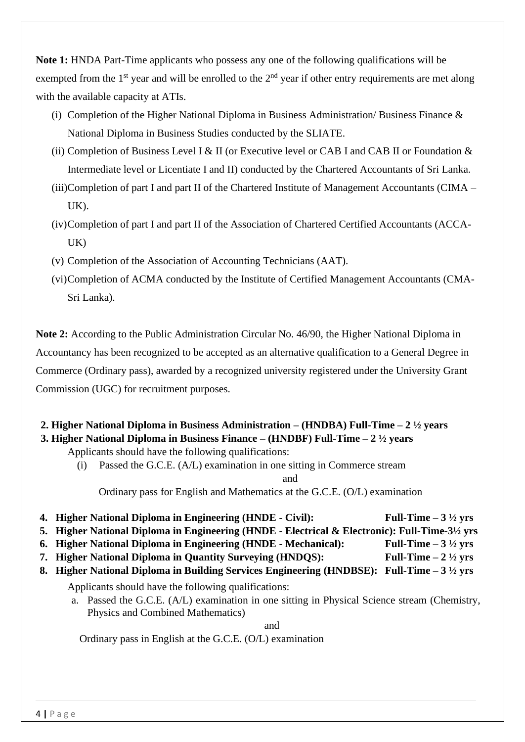**Note 1:** HNDA Part-Time applicants who possess any one of the following qualifications will be exempted from the  $1<sup>st</sup>$  year and will be enrolled to the  $2<sup>nd</sup>$  year if other entry requirements are met along with the available capacity at ATIs.

- (i) Completion of the Higher National Diploma in Business Administration/ Business Finance & National Diploma in Business Studies conducted by the SLIATE.
- (ii) Completion of Business Level I & II (or Executive level or CAB I and CAB II or Foundation & Intermediate level or Licentiate I and II) conducted by the Chartered Accountants of Sri Lanka.
- (iii)Completion of part I and part II of the Chartered Institute of Management Accountants (CIMA UK).
- (iv)Completion of part I and part II of the Association of Chartered Certified Accountants (ACCA-UK)
- (v) Completion of the Association of Accounting Technicians (AAT).
- (vi)Completion of ACMA conducted by the Institute of Certified Management Accountants (CMA-Sri Lanka).

**Note 2:** According to the Public Administration Circular No. 46/90, the Higher National Diploma in Accountancy has been recognized to be accepted as an alternative qualification to a General Degree in Commerce (Ordinary pass), awarded by a recognized university registered under the University Grant Commission (UGC) for recruitment purposes.

## **2. Higher National Diploma in Business Administration – (HNDBA) Full-Time – 2 ½ years**

### **3. Higher National Diploma in Business Finance – (HNDBF) Full-Time – 2 ½ years**

Applicants should have the following qualifications:

(i) Passed the G.C.E. (A/L) examination in one sitting in Commerce stream and

Ordinary pass for English and Mathematics at the G.C.E. (O/L) examination

- 
- **4. Higher National Diploma in Engineering (HNDE - Civil): Full-Time – 3 ½ yrs 5. Higher National Diploma in Engineering (HNDE - Electrical & Electronic): Full-Time-3½ yrs**
- **6. Higher National Diploma in Engineering (HNDE - Mechanical): Full-Time – 3 ½ yrs**
- **7. Higher National Diploma in Quantity Surveying (HNDQS): Full-Time – 2 ½ yrs**
- **8. Higher National Diploma in Building Services Engineering (HNDBSE): Full-Time – 3 ½ yrs**

Applicants should have the following qualifications:

a. Passed the G.C.E. (A/L) examination in one sitting in Physical Science stream (Chemistry, Physics and Combined Mathematics)

and

Ordinary pass in English at the G.C.E. (O/L) examination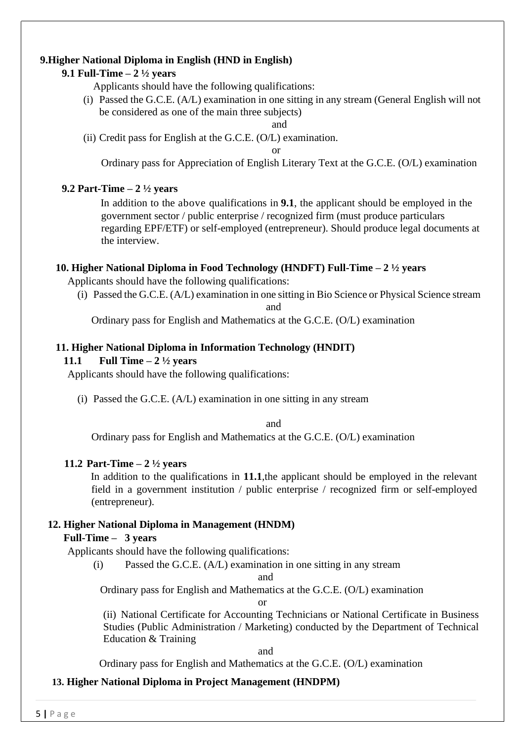## **9.Higher National Diploma in English (HND in English)**

## **9.1 Full-Time – 2 ½ years**

Applicants should have the following qualifications:

(i) Passed the G.C.E. (A/L) examination in one sitting in any stream (General English will not be considered as one of the main three subjects)

and

(ii) Credit pass for English at the G.C.E. (O/L) examination.

or

Ordinary pass for Appreciation of English Literary Text at the G.C.E. (O/L) examination

## **9.2 Part-Time – 2 ½ years**

In addition to the above qualifications in **9.1**, the applicant should be employed in the government sector / public enterprise / recognized firm (must produce particulars regarding EPF/ETF) or self-employed (entrepreneur). Should produce legal documents at the interview.

## **10. Higher National Diploma in Food Technology (HNDFT) Full-Time – 2 ½ years**

Applicants should have the following qualifications:

(i) Passed the G.C.E. (A/L) examination in one sitting in Bio Science or Physical Science stream and

Ordinary pass for English and Mathematics at the G.C.E. (O/L) examination

## **11. Higher National Diploma in Information Technology (HNDIT)**

## **11.1 Full Time – 2 ½ years**

Applicants should have the following qualifications:

(i) Passed the G.C.E. (A/L) examination in one sitting in any stream

and

Ordinary pass for English and Mathematics at the G.C.E. (O/L) examination

## **11.2 Part-Time – 2 ½ years**

In addition to the qualifications in **11.1**,the applicant should be employed in the relevant field in a government institution / public enterprise / recognized firm or self-employed (entrepreneur).

## **12. Higher National Diploma in Management (HNDM)**

#### **Full-Time – 3 years**

Applicants should have the following qualifications:

(i) Passed the G.C.E. (A/L) examination in one sitting in any stream

and

Ordinary pass for English and Mathematics at the G.C.E. (O/L) examination

or

(ii) National Certificate for Accounting Technicians or National Certificate in Business Studies (Public Administration / Marketing) conducted by the Department of Technical Education & Training

and

Ordinary pass for English and Mathematics at the G.C.E. (O/L) examination

## **13. Higher National Diploma in Project Management (HNDPM)**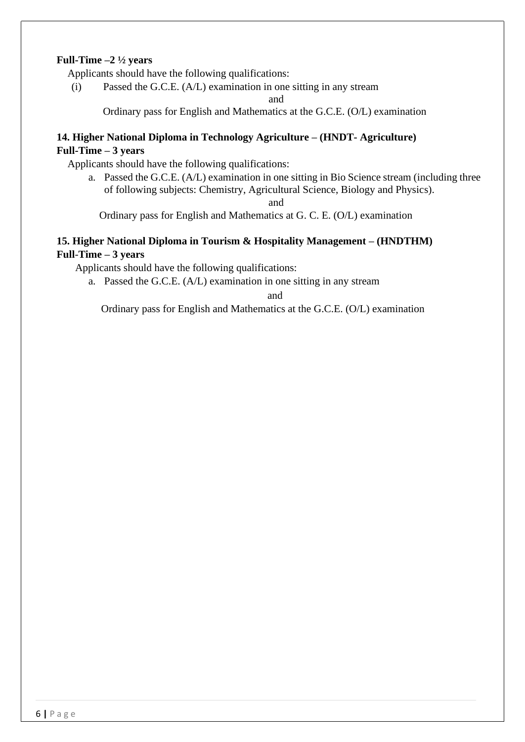#### **Full-Time –2 ½ years**

Applicants should have the following qualifications:

(i) Passed the G.C.E. (A/L) examination in one sitting in any stream

and

Ordinary pass for English and Mathematics at the G.C.E. (O/L) examination

### **14. Higher National Diploma in Technology Agriculture – (HNDT- Agriculture) Full-Time – 3 years**

Applicants should have the following qualifications:

a. Passed the G.C.E. (A/L) examination in one sitting in Bio Science stream (including three of following subjects: Chemistry, Agricultural Science, Biology and Physics).

and

Ordinary pass for English and Mathematics at G. C. E. (O/L) examination

#### **15. Higher National Diploma in Tourism & Hospitality Management – (HNDTHM) Full**-**Time – 3 years**

Applicants should have the following qualifications:

a. Passed the G.C.E. (A/L) examination in one sitting in any stream

and

Ordinary pass for English and Mathematics at the G.C.E. (O/L) examination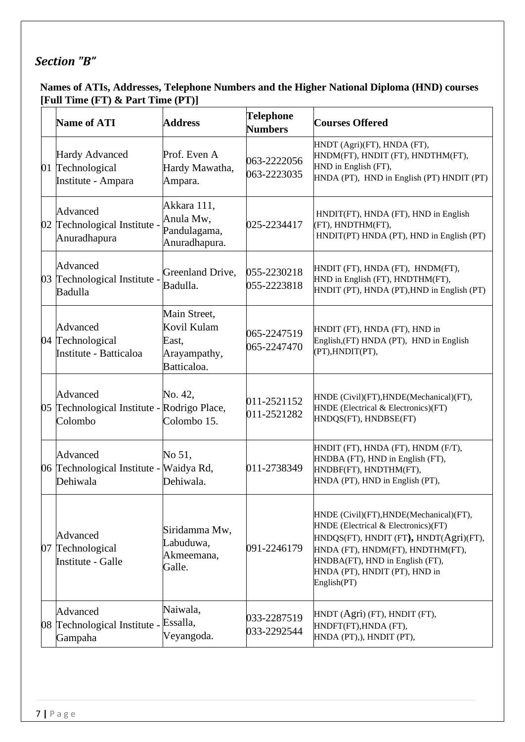# *Section "B"*

## **Names of ATIs, Addresses, Telephone Numbers and the Higher National Diploma (HND) courses [Full Time (FT) & Part Time (PT)]**

|    | <b>Name of ATI</b>                                                 | <b>Address</b>                                                      | <b>Telephone</b><br><b>Numbers</b> | <b>Courses Offered</b>                                                                                                                                                                                                                          |
|----|--------------------------------------------------------------------|---------------------------------------------------------------------|------------------------------------|-------------------------------------------------------------------------------------------------------------------------------------------------------------------------------------------------------------------------------------------------|
|    | <b>Hardy Advanced</b><br>01 Technological<br>Institute - Ampara    | Prof. Even A<br>Hardy Mawatha,<br>Ampara.                           | 063-2222056<br>063-2223035         | HNDT (Agri)(FT), HNDA (FT),<br>HNDM(FT), HNDIT (FT), HNDTHM(FT),<br>HND in English (FT),<br>HNDA (PT), HND in English (PT) HNDIT (PT)                                                                                                           |
|    | Advanced<br>02 Technological Institute -<br>Anuradhapura           | Akkara 111,<br>Anula Mw,<br>Pandulagama,<br>Anuradhapura.           | 025-2234417                        | HNDIT(FT), HNDA (FT), HND in English<br>(FT), HNDTHM(FT),<br>HNDIT(PT) HNDA (PT), HND in English (PT)                                                                                                                                           |
| 03 | Advanced<br>Technological Institute -<br>Badulla                   | Greenland Drive,<br>Badulla.                                        | 055-2230218<br>055-2223818         | HNDIT (FT), HNDA (FT), HNDM(FT),<br>HND in English (FT), HNDTHM(FT),<br>HNDIT (PT), HNDA (PT), HND in English (PT)                                                                                                                              |
|    | Advanced<br>04 Technological<br>Institute - Batticaloa             | Main Street,<br>Kovil Kulam<br>East,<br>Arayampathy,<br>Batticaloa. | 065-2247519<br>065-2247470         | HNDIT (FT), HNDA (FT), HND in<br>English, (FT) HNDA (PT), HND in English<br>(PT), HNDIT(PT),                                                                                                                                                    |
|    | Advanced<br>05 Technological Institute - Rodrigo Place,<br>Colombo | No. 42,<br>Colombo 15.                                              | 011-2521152<br>011-2521282         | HNDE (Civil)(FT), HNDE(Mechanical)(FT),<br>HNDE (Electrical & Electronics)(FT)<br>HNDQS(FT), HNDBSE(FT)                                                                                                                                         |
|    | Advanced<br>06 Technological Institute - Waidya Rd,<br>Dehiwala    | No 51,<br>Dehiwala.                                                 | 011-2738349                        | HNDIT (FT), HNDA (FT), HNDM (F/T),<br>HNDBA (FT), HND in English (FT),<br>HNDBF(FT), HNDTHM(FT),<br>HNDA (PT), HND in English (PT),                                                                                                             |
| 07 | Advanced<br>Technological<br>Institute - Galle                     | Siridamma Mw,<br>Labuduwa,<br>Akmeemana,<br>Galle.                  | 091-2246179                        | HNDE (Civil)(FT), HNDE(Mechanical)(FT),<br>HNDE (Electrical & Electronics)(FT)<br>HNDQS(FT), HNDIT (FT), HNDT(Agri)(FT),<br>HNDA (FT), HNDM(FT), HNDTHM(FT),<br>HNDBA(FT), HND in English (FT),<br>HNDA (PT), HNDIT (PT), HND in<br>English(PT) |
|    | Advanced<br>08 Technological Institute - Essalla,<br>Gampaha       | Naiwala,<br>Veyangoda.                                              | 033-2287519<br>033-2292544         | HNDT (Agri) (FT), HNDIT (FT),<br>HNDFT(FT), HNDA (FT),<br>HNDA (PT),), HNDIT (PT),                                                                                                                                                              |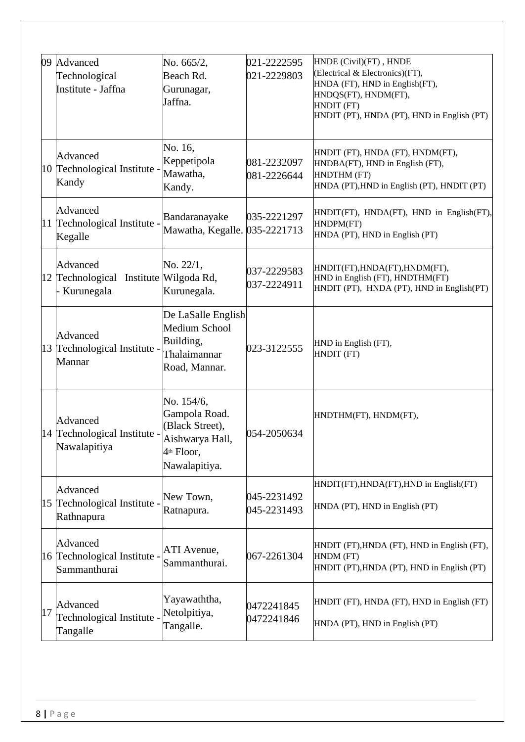|    | 09 Advanced<br>Technological<br>Institute - Jaffna               | No. 665/2,<br>Beach Rd.<br>Gurunagar,<br>Jaffna.                                                             | 021-2222595<br>021-2229803 | HNDE (Civil)(FT), HNDE<br>(Electrical & Electronics)(FT),<br>HNDA (FT), HND in English(FT),<br>HNDQS(FT), HNDM(FT),<br>HNDIT (FT)<br>HNDIT (PT), HNDA (PT), HND in English (PT) |
|----|------------------------------------------------------------------|--------------------------------------------------------------------------------------------------------------|----------------------------|---------------------------------------------------------------------------------------------------------------------------------------------------------------------------------|
|    | Advanced<br>10 Technological Institute -<br>Kandy                | No. 16,<br>Keppetipola<br>Mawatha,<br>Kandy.                                                                 | 081-2232097<br>081-2226644 | HNDIT (FT), HNDA (FT), HNDM(FT),<br>HNDBA(FT), HND in English (FT),<br>HNDTHM (FT)<br>HNDA (PT), HND in English (PT), HNDIT (PT)                                                |
|    | Advanced<br>11 Technological Institute -<br>Kegalle              | Bandaranayake<br>Mawatha, Kegalle. 035-2221713                                                               | 035-2221297                | HNDIT(FT), HNDA(FT), HND in English(FT),<br>HNDPM(FT)<br>HNDA (PT), HND in English (PT)                                                                                         |
|    | Advanced<br>12 Technological Institute Wilgoda Rd,<br>Kurunegala | No. 22/1,<br>Kurunegala.                                                                                     | 037-2229583<br>037-2224911 | HNDIT(FT), HNDA(FT), HNDM(FT),<br>HND in English (FT), HNDTHM(FT)<br>HNDIT (PT), HNDA (PT), HND in English(PT)                                                                  |
|    | Advanced<br>13 Technological Institute -<br>Mannar               | De LaSalle English<br><b>Medium School</b><br>Building,<br>Thalaimannar<br>Road, Mannar.                     | 023-3122555                | HND in English (FT),<br>HNDIT (FT)                                                                                                                                              |
|    | Advanced<br>14 Technological Institute -<br>Nawalapitiya         | No. 154/6,<br>Gampola Road.<br>(Black Street),<br>Aishwarya Hall,<br>4 <sup>th</sup> Floor,<br>Nawalapitiya. | 054-2050634                | HNDTHM(FT), HNDM(FT),                                                                                                                                                           |
|    | Advanced<br>15 Technological Institute -<br>Rathnapura           | New Town,<br>Ratnapura.                                                                                      | 045-2231492<br>045-2231493 | HNDIT(FT), HNDA(FT), HND in English(FT)<br>HNDA (PT), HND in English (PT)                                                                                                       |
|    | Advanced<br>16 Technological Institute -<br>Sammanthurai         | ATI Avenue,<br>Sammanthurai.                                                                                 | 067-2261304                | HNDIT (FT), HNDA (FT), HND in English (FT),<br>HNDM (FT)<br>HNDIT (PT), HNDA (PT), HND in English (PT)                                                                          |
| 17 | Advanced<br>Technological Institute -<br>Tangalle                | Yayawaththa,<br>Netolpitiya,<br>Tangalle.                                                                    | 0472241845<br>0472241846   | HNDIT (FT), HNDA (FT), HND in English (FT)<br>HNDA (PT), HND in English (PT)                                                                                                    |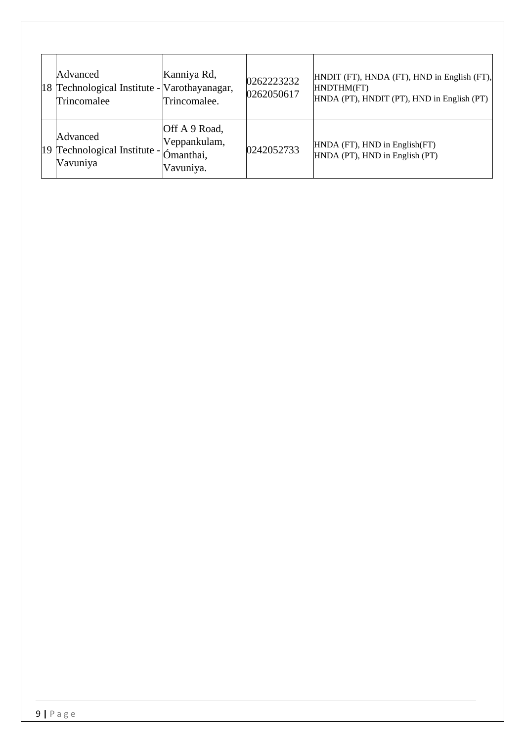| Advanced<br>18 Technological Institute - Varothayanagar,<br>Trincomalee | Kanniya Rd,<br>Trincomalee.                             | 0262223232<br>0262050617 | HNDIT (FT), HNDA (FT), HND in English (FT),<br>HNDTHM(FT)<br>HNDA (PT), HNDIT (PT), HND in English (PT) |
|-------------------------------------------------------------------------|---------------------------------------------------------|--------------------------|---------------------------------------------------------------------------------------------------------|
| Advanced<br>19 Technological Institute -<br>Vavuniya                    | Off A 9 Road,<br>Veppankulam,<br>Ómanthai,<br>Vavuniya. | 0242052733               | HNDA (FT), HND in English(FT)<br>HNDA (PT), HND in English (PT)                                         |